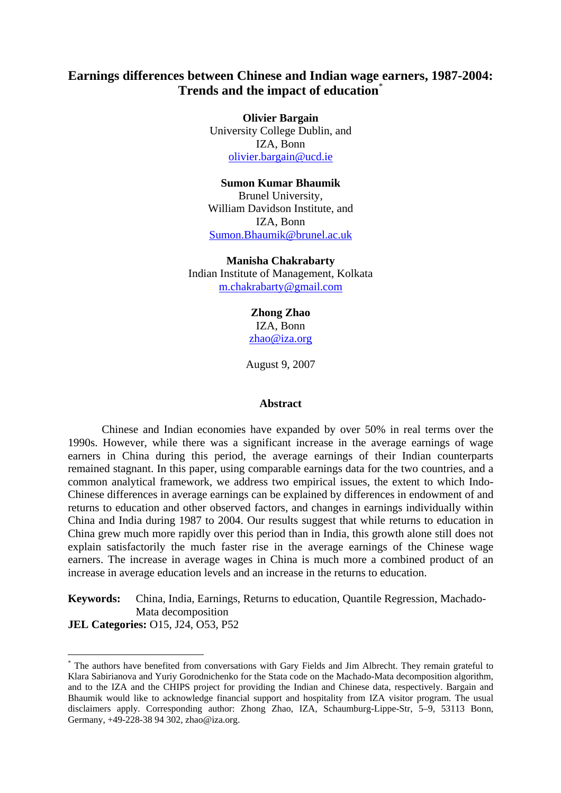# **Earnings differences between Chinese and Indian wage earners, 1987-2004: Trends and the impact of education**\*

**Olivier Bargain**  University College Dublin, and IZA, Bonn olivier.bargain@ucd.ie

# **Sumon Kumar Bhaumik**

Brunel University, William Davidson Institute, and IZA, Bonn Sumon.Bhaumik@brunel.ac.uk

**Manisha Chakrabarty**  Indian Institute of Management, Kolkata m.chakrabarty@gmail.com

> **Zhong Zhao**  IZA, Bonn zhao@iza.org

August 9, 2007

#### **Abstract**

Chinese and Indian economies have expanded by over 50% in real terms over the 1990s. However, while there was a significant increase in the average earnings of wage earners in China during this period, the average earnings of their Indian counterparts remained stagnant. In this paper, using comparable earnings data for the two countries, and a common analytical framework, we address two empirical issues, the extent to which Indo-Chinese differences in average earnings can be explained by differences in endowment of and returns to education and other observed factors, and changes in earnings individually within China and India during 1987 to 2004. Our results suggest that while returns to education in China grew much more rapidly over this period than in India, this growth alone still does not explain satisfactorily the much faster rise in the average earnings of the Chinese wage earners. The increase in average wages in China is much more a combined product of an increase in average education levels and an increase in the returns to education.

**Keywords:** China, India, Earnings, Returns to education, Quantile Regression, Machado-Mata decomposition **JEL Categories:** O15, J24, O53, P52

 $\overline{a}$ 

<sup>\*</sup> The authors have benefited from conversations with Gary Fields and Jim Albrecht. They remain grateful to Klara Sabirianova and Yuriy Gorodnichenko for the Stata code on the Machado-Mata decomposition algorithm, and to the IZA and the CHIPS project for providing the Indian and Chinese data, respectively. Bargain and Bhaumik would like to acknowledge financial support and hospitality from IZA visitor program. The usual disclaimers apply. Corresponding author: Zhong Zhao, IZA, Schaumburg-Lippe-Str, 5–9, 53113 Bonn, Germany, +49-228-38 94 302, zhao@iza.org.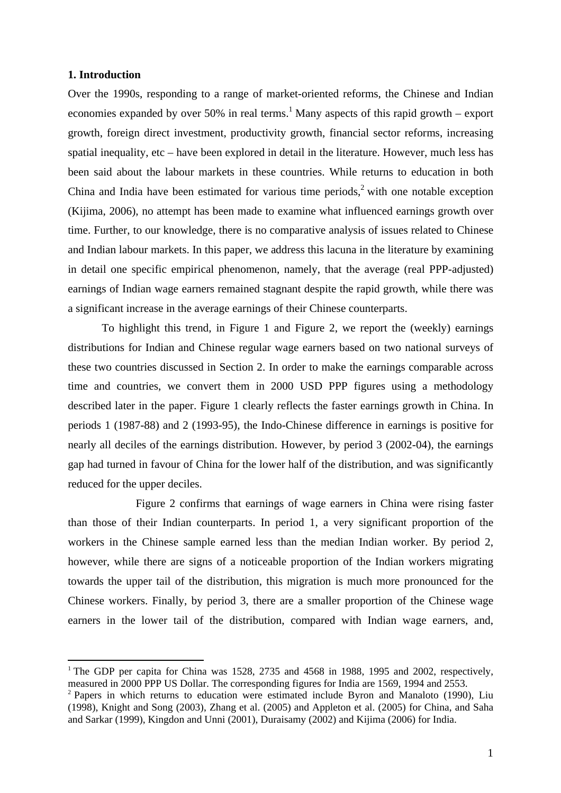# **1. Introduction**

 $\overline{a}$ 

Over the 1990s, responding to a range of market-oriented reforms, the Chinese and Indian economies expanded by over 50% in real terms.<sup>1</sup> Many aspects of this rapid growth – export growth, foreign direct investment, productivity growth, financial sector reforms, increasing spatial inequality, etc – have been explored in detail in the literature. However, much less has been said about the labour markets in these countries. While returns to education in both China and India have been estimated for various time periods,<sup>2</sup> with one notable exception (Kijima, 2006), no attempt has been made to examine what influenced earnings growth over time. Further, to our knowledge, there is no comparative analysis of issues related to Chinese and Indian labour markets. In this paper, we address this lacuna in the literature by examining in detail one specific empirical phenomenon, namely, that the average (real PPP-adjusted) earnings of Indian wage earners remained stagnant despite the rapid growth, while there was a significant increase in the average earnings of their Chinese counterparts.

To highlight this trend, in Figure 1 and Figure 2, we report the (weekly) earnings distributions for Indian and Chinese regular wage earners based on two national surveys of these two countries discussed in Section 2. In order to make the earnings comparable across time and countries, we convert them in 2000 USD PPP figures using a methodology described later in the paper. Figure 1 clearly reflects the faster earnings growth in China. In periods 1 (1987-88) and 2 (1993-95), the Indo-Chinese difference in earnings is positive for nearly all deciles of the earnings distribution. However, by period 3 (2002-04), the earnings gap had turned in favour of China for the lower half of the distribution, and was significantly reduced for the upper deciles.

 Figure 2 confirms that earnings of wage earners in China were rising faster than those of their Indian counterparts. In period 1, a very significant proportion of the workers in the Chinese sample earned less than the median Indian worker. By period 2, however, while there are signs of a noticeable proportion of the Indian workers migrating towards the upper tail of the distribution, this migration is much more pronounced for the Chinese workers. Finally, by period 3, there are a smaller proportion of the Chinese wage earners in the lower tail of the distribution, compared with Indian wage earners, and,

<sup>&</sup>lt;sup>1</sup> The GDP per capita for China was 1528, 2735 and 4568 in 1988, 1995 and 2002, respectively, measured in 2000 PPP US Dollar. The corresponding figures for India are 1569, 1994 and 2553.

 $2$  Papers in which returns to education were estimated include Byron and Manaloto (1990), Liu (1998), Knight and Song (2003), Zhang et al. (2005) and Appleton et al. (2005) for China, and Saha and Sarkar (1999), Kingdon and Unni (2001), Duraisamy (2002) and Kijima (2006) for India.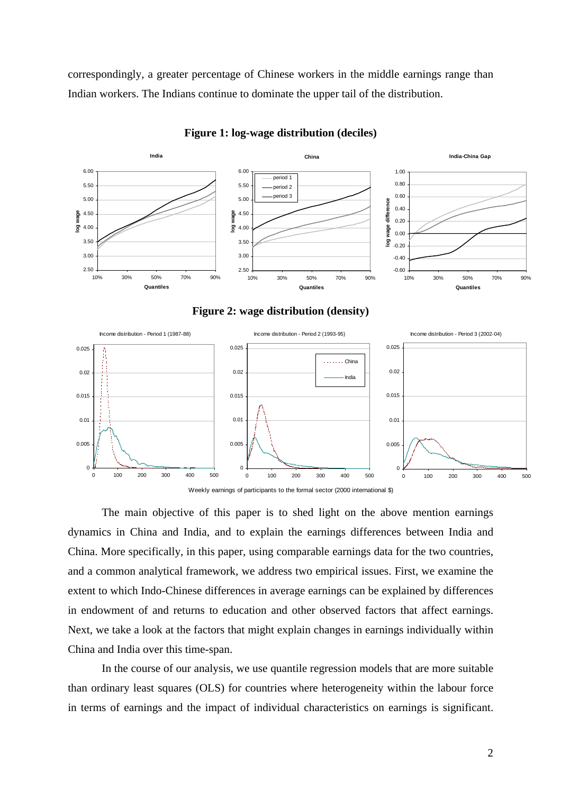correspondingly, a greater percentage of Chinese workers in the middle earnings range than Indian workers. The Indians continue to dominate the upper tail of the distribution.



#### **Figure 1: log-wage distribution (deciles)**



The main objective of this paper is to shed light on the above mention earnings dynamics in China and India, and to explain the earnings differences between India and China. More specifically, in this paper, using comparable earnings data for the two countries, and a common analytical framework, we address two empirical issues. First, we examine the extent to which Indo-Chinese differences in average earnings can be explained by differences in endowment of and returns to education and other observed factors that affect earnings. Next, we take a look at the factors that might explain changes in earnings individually within China and India over this time-span.

In the course of our analysis, we use quantile regression models that are more suitable than ordinary least squares (OLS) for countries where heterogeneity within the labour force in terms of earnings and the impact of individual characteristics on earnings is significant.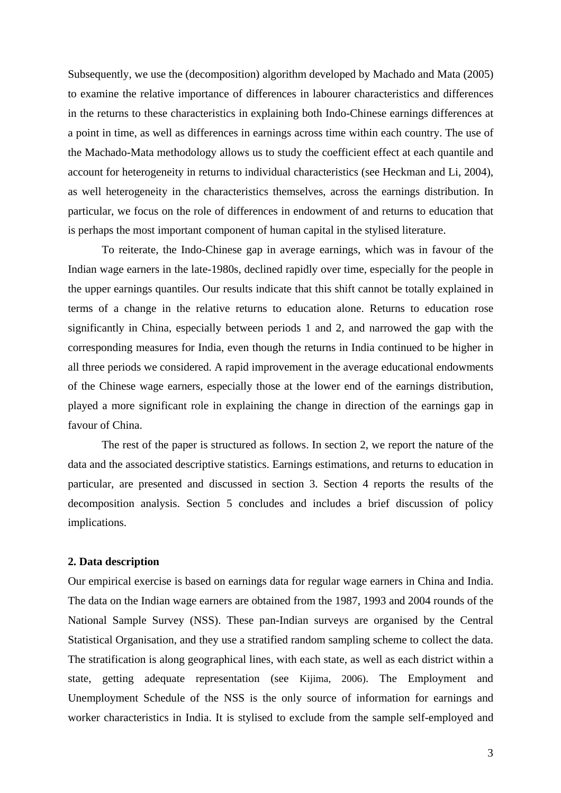Subsequently, we use the (decomposition) algorithm developed by Machado and Mata (2005) to examine the relative importance of differences in labourer characteristics and differences in the returns to these characteristics in explaining both Indo-Chinese earnings differences at a point in time, as well as differences in earnings across time within each country. The use of the Machado-Mata methodology allows us to study the coefficient effect at each quantile and account for heterogeneity in returns to individual characteristics (see Heckman and Li, 2004), as well heterogeneity in the characteristics themselves, across the earnings distribution. In particular, we focus on the role of differences in endowment of and returns to education that is perhaps the most important component of human capital in the stylised literature.

To reiterate, the Indo-Chinese gap in average earnings, which was in favour of the Indian wage earners in the late-1980s, declined rapidly over time, especially for the people in the upper earnings quantiles. Our results indicate that this shift cannot be totally explained in terms of a change in the relative returns to education alone. Returns to education rose significantly in China, especially between periods 1 and 2, and narrowed the gap with the corresponding measures for India, even though the returns in India continued to be higher in all three periods we considered. A rapid improvement in the average educational endowments of the Chinese wage earners, especially those at the lower end of the earnings distribution, played a more significant role in explaining the change in direction of the earnings gap in favour of China.

The rest of the paper is structured as follows. In section 2, we report the nature of the data and the associated descriptive statistics. Earnings estimations, and returns to education in particular, are presented and discussed in section 3. Section 4 reports the results of the decomposition analysis. Section 5 concludes and includes a brief discussion of policy implications.

# **2. Data description**

Our empirical exercise is based on earnings data for regular wage earners in China and India. The data on the Indian wage earners are obtained from the 1987, 1993 and 2004 rounds of the National Sample Survey (NSS). These pan-Indian surveys are organised by the Central Statistical Organisation, and they use a stratified random sampling scheme to collect the data. The stratification is along geographical lines, with each state, as well as each district within a state, getting adequate representation (see Kijima, 2006). The Employment and Unemployment Schedule of the NSS is the only source of information for earnings and worker characteristics in India. It is stylised to exclude from the sample self-employed and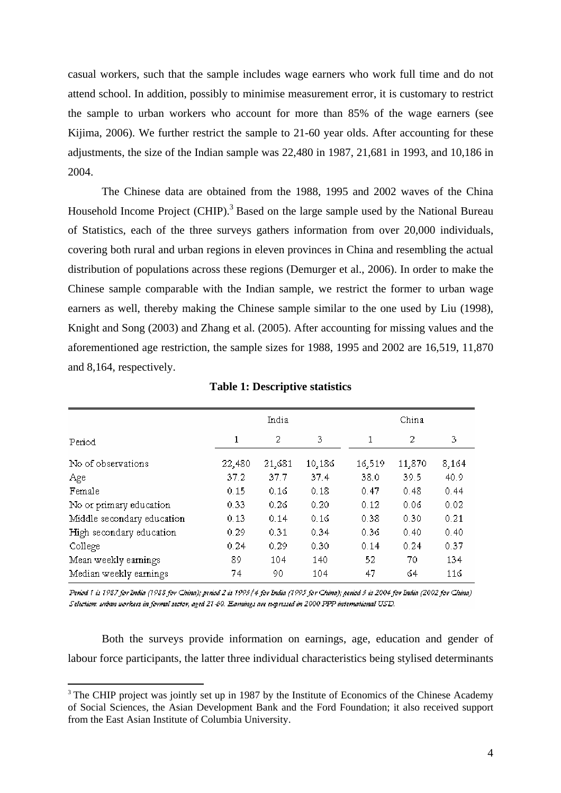casual workers, such that the sample includes wage earners who work full time and do not attend school. In addition, possibly to minimise measurement error, it is customary to restrict the sample to urban workers who account for more than 85% of the wage earners (see Kijima, 2006). We further restrict the sample to 21-60 year olds. After accounting for these adjustments, the size of the Indian sample was 22,480 in 1987, 21,681 in 1993, and 10,186 in 2004.

The Chinese data are obtained from the 1988, 1995 and 2002 waves of the China Household Income Project (CHIP).<sup>3</sup> Based on the large sample used by the National Bureau of Statistics, each of the three surveys gathers information from over 20,000 individuals, covering both rural and urban regions in eleven provinces in China and resembling the actual distribution of populations across these regions (Demurger et al., 2006). In order to make the Chinese sample comparable with the Indian sample, we restrict the former to urban wage earners as well, thereby making the Chinese sample similar to the one used by Liu (1998), Knight and Song (2003) and Zhang et al. (2005). After accounting for missing values and the aforementioned age restriction, the sample sizes for 1988, 1995 and 2002 are 16,519, 11,870 and 8,164, respectively.

|                            |        | India  |        | China  |        |       |  |  |  |  |
|----------------------------|--------|--------|--------|--------|--------|-------|--|--|--|--|
| Period                     | 1      | 2      | 3      | 1      | 2      | 3     |  |  |  |  |
| No of observations         | 22,480 | 21,681 | 10,186 | 16,519 | 11,870 | 8,164 |  |  |  |  |
| Age                        | 37.2   | 37.7   | 37.4   | 38.0   | 39.5   | 40.9  |  |  |  |  |
| Female                     | 0.15   | 0.16   | 0.18   | 0.47   | 0.48   | 0.44  |  |  |  |  |
| No or primary education    | 0.33   | 0.26   | 0.20   | 0.12   | 0.06   | 0.02  |  |  |  |  |
| Middle secondary education | 0.13   | 0.14   | 0.16   | 0.38   | 0.30   | 0.21  |  |  |  |  |
| High secondary education   | 0.29   | 0.31   | 0.34   | 0.36   | 0.40   | 0.40  |  |  |  |  |
| College                    | 0.24   | 0.29   | 0.30   | 0.14   | 0.24   | 0.37  |  |  |  |  |
| Mean weekly earnings       | 89     | 104    | 140    | 52     | 70     | 134   |  |  |  |  |
| Median weekly earnings     | 74     | 90     | 104    | 47     | 64     | 116   |  |  |  |  |

**Table 1: Descriptive statistics** 

Period 1 is 1987 for India (1988 for China); period 2 is 1993/4 for India (1995 for China); period 3 is 2004 for India (2002 for China) Selection: unhan workers in formal sector, aged 21-60. Earnings are expressed in 2000 PPP international USD.

Both the surveys provide information on earnings, age, education and gender of labour force participants, the latter three individual characteristics being stylised determinants

 $\overline{a}$ 

<sup>&</sup>lt;sup>3</sup> The CHIP project was jointly set up in 1987 by the Institute of Economics of the Chinese Academy of Social Sciences, the Asian Development Bank and the Ford Foundation; it also received support from the East Asian Institute of Columbia University.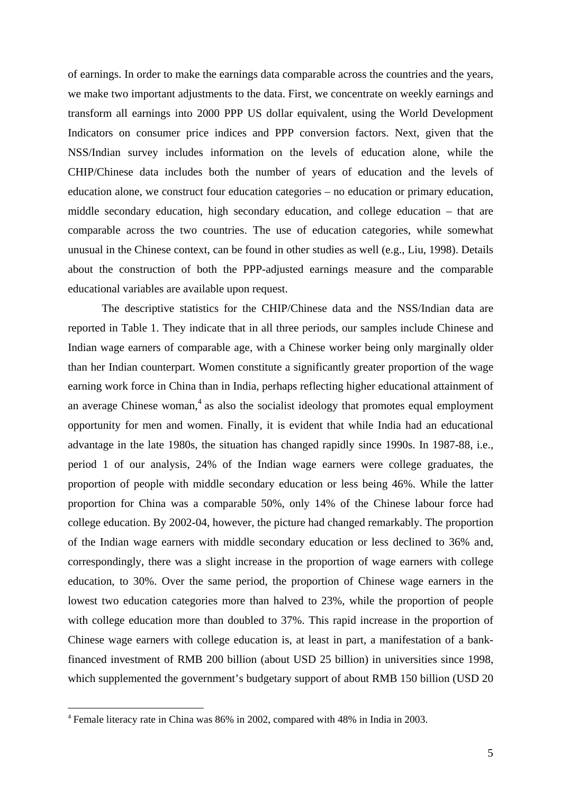of earnings. In order to make the earnings data comparable across the countries and the years, we make two important adjustments to the data. First, we concentrate on weekly earnings and transform all earnings into 2000 PPP US dollar equivalent, using the World Development Indicators on consumer price indices and PPP conversion factors. Next, given that the NSS/Indian survey includes information on the levels of education alone, while the CHIP/Chinese data includes both the number of years of education and the levels of education alone, we construct four education categories – no education or primary education, middle secondary education, high secondary education, and college education – that are comparable across the two countries. The use of education categories, while somewhat unusual in the Chinese context, can be found in other studies as well (e.g., Liu, 1998). Details about the construction of both the PPP-adjusted earnings measure and the comparable educational variables are available upon request.

The descriptive statistics for the CHIP/Chinese data and the NSS/Indian data are reported in Table 1. They indicate that in all three periods, our samples include Chinese and Indian wage earners of comparable age, with a Chinese worker being only marginally older than her Indian counterpart. Women constitute a significantly greater proportion of the wage earning work force in China than in India, perhaps reflecting higher educational attainment of an average Chinese woman, $4$  as also the socialist ideology that promotes equal employment opportunity for men and women. Finally, it is evident that while India had an educational advantage in the late 1980s, the situation has changed rapidly since 1990s. In 1987-88, i.e., period 1 of our analysis, 24% of the Indian wage earners were college graduates, the proportion of people with middle secondary education or less being 46%. While the latter proportion for China was a comparable 50%, only 14% of the Chinese labour force had college education. By 2002-04, however, the picture had changed remarkably. The proportion of the Indian wage earners with middle secondary education or less declined to 36% and, correspondingly, there was a slight increase in the proportion of wage earners with college education, to 30%. Over the same period, the proportion of Chinese wage earners in the lowest two education categories more than halved to 23%, while the proportion of people with college education more than doubled to 37%. This rapid increase in the proportion of Chinese wage earners with college education is, at least in part, a manifestation of a bankfinanced investment of RMB 200 billion (about USD 25 billion) in universities since 1998, which supplemented the government's budgetary support of about RMB 150 billion (USD 20

 $\overline{a}$ 

<sup>4</sup> Female literacy rate in China was 86% in 2002, compared with 48% in India in 2003.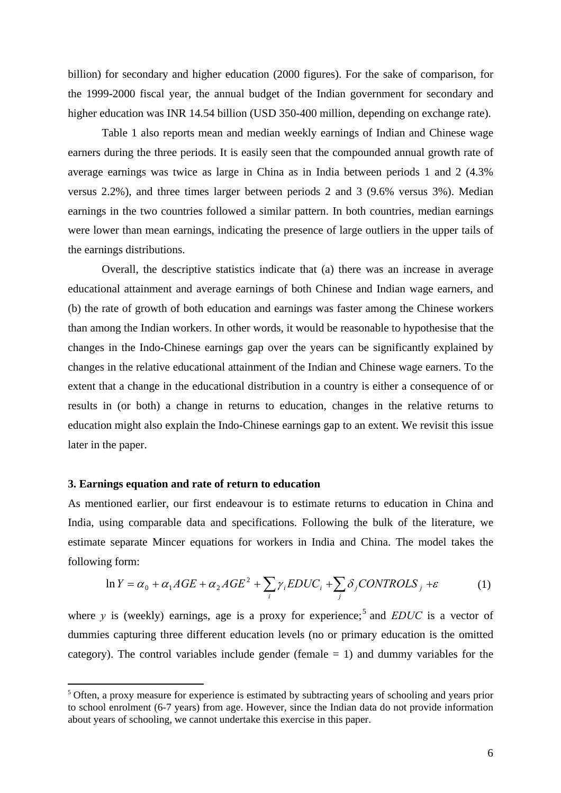billion) for secondary and higher education (2000 figures). For the sake of comparison, for the 1999-2000 fiscal year, the annual budget of the Indian government for secondary and higher education was INR 14.54 billion (USD 350-400 million, depending on exchange rate).

 Table 1 also reports mean and median weekly earnings of Indian and Chinese wage earners during the three periods. It is easily seen that the compounded annual growth rate of average earnings was twice as large in China as in India between periods 1 and 2 (4.3% versus 2.2%), and three times larger between periods 2 and 3 (9.6% versus 3%). Median earnings in the two countries followed a similar pattern. In both countries, median earnings were lower than mean earnings, indicating the presence of large outliers in the upper tails of the earnings distributions.

 Overall, the descriptive statistics indicate that (a) there was an increase in average educational attainment and average earnings of both Chinese and Indian wage earners, and (b) the rate of growth of both education and earnings was faster among the Chinese workers than among the Indian workers. In other words, it would be reasonable to hypothesise that the changes in the Indo-Chinese earnings gap over the years can be significantly explained by changes in the relative educational attainment of the Indian and Chinese wage earners. To the extent that a change in the educational distribution in a country is either a consequence of or results in (or both) a change in returns to education, changes in the relative returns to education might also explain the Indo-Chinese earnings gap to an extent. We revisit this issue later in the paper.

# **3. Earnings equation and rate of return to education**

 $\overline{a}$ 

As mentioned earlier, our first endeavour is to estimate returns to education in China and India, using comparable data and specifications. Following the bulk of the literature, we estimate separate Mincer equations for workers in India and China. The model takes the following form:

$$
\ln Y = \alpha_0 + \alpha_1 AGE + \alpha_2 AGE^2 + \sum_i \gamma_i EDUC_i + \sum_j \delta_j CONTROLS_j + \varepsilon
$$
 (1)

where  $y$  is (weekly) earnings, age is a proxy for experience;<sup>5</sup> and *EDUC* is a vector of dummies capturing three different education levels (no or primary education is the omitted category). The control variables include gender (female  $= 1$ ) and dummy variables for the

<sup>5</sup> Often, a proxy measure for experience is estimated by subtracting years of schooling and years prior to school enrolment (6-7 years) from age. However, since the Indian data do not provide information about years of schooling, we cannot undertake this exercise in this paper.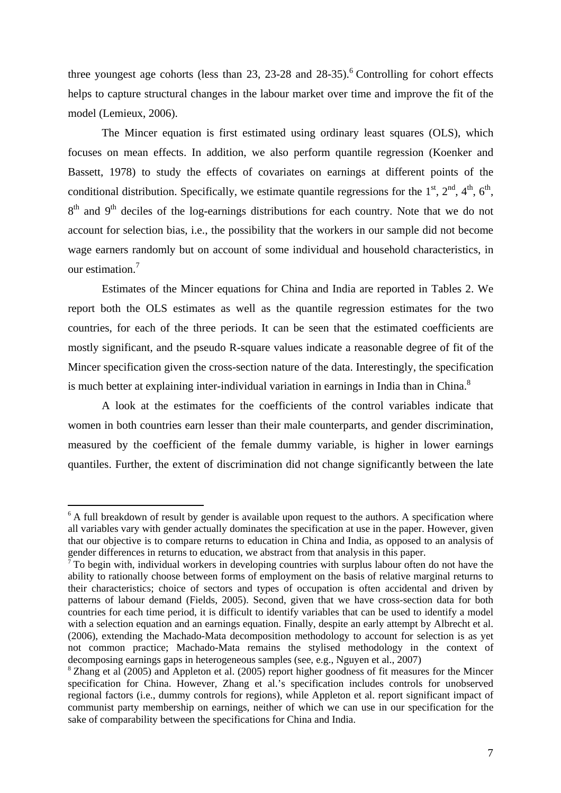three youngest age cohorts (less than 23, 23-28 and  $28-35$ ).<sup>6</sup> Controlling for cohort effects helps to capture structural changes in the labour market over time and improve the fit of the model (Lemieux, 2006).

The Mincer equation is first estimated using ordinary least squares (OLS), which focuses on mean effects. In addition, we also perform quantile regression (Koenker and Bassett, 1978) to study the effects of covariates on earnings at different points of the conditional distribution. Specifically, we estimate quantile regressions for the  $1<sup>st</sup>$ ,  $2<sup>nd</sup>$ ,  $4<sup>th</sup>$ ,  $6<sup>th</sup>$ ,  $8<sup>th</sup>$  and  $9<sup>th</sup>$  deciles of the log-earnings distributions for each country. Note that we do not account for selection bias, i.e., the possibility that the workers in our sample did not become wage earners randomly but on account of some individual and household characteristics, in our estimation.<sup>7</sup>

Estimates of the Mincer equations for China and India are reported in Tables 2. We report both the OLS estimates as well as the quantile regression estimates for the two countries, for each of the three periods. It can be seen that the estimated coefficients are mostly significant, and the pseudo R-square values indicate a reasonable degree of fit of the Mincer specification given the cross-section nature of the data. Interestingly, the specification is much better at explaining inter-individual variation in earnings in India than in China.<sup>8</sup>

A look at the estimates for the coefficients of the control variables indicate that women in both countries earn lesser than their male counterparts, and gender discrimination, measured by the coefficient of the female dummy variable, is higher in lower earnings quantiles. Further, the extent of discrimination did not change significantly between the late

 $\overline{a}$ 

<sup>&</sup>lt;sup>6</sup> A full breakdown of result by gender is available upon request to the authors. A specification where all variables vary with gender actually dominates the specification at use in the paper. However, given that our objective is to compare returns to education in China and India, as opposed to an analysis of gender differences in returns to education, we abstract from that analysis in this paper.<br><sup>7</sup> To begin with, individual workers in developing countries with surplus labour often do not have the

ability to rationally choose between forms of employment on the basis of relative marginal returns to their characteristics; choice of sectors and types of occupation is often accidental and driven by patterns of labour demand (Fields, 2005). Second, given that we have cross-section data for both countries for each time period, it is difficult to identify variables that can be used to identify a model with a selection equation and an earnings equation. Finally, despite an early attempt by Albrecht et al. (2006), extending the Machado-Mata decomposition methodology to account for selection is as yet not common practice; Machado-Mata remains the stylised methodology in the context of decomposing earnings gaps in heterogeneous samples (see, e.g., Nguyen et al., 2007)

<sup>&</sup>lt;sup>8</sup> Zhang et al (2005) and Appleton et al. (2005) report higher goodness of fit measures for the Mincer specification for China. However, Zhang et al.'s specification includes controls for unobserved regional factors (i.e., dummy controls for regions), while Appleton et al. report significant impact of communist party membership on earnings, neither of which we can use in our specification for the sake of comparability between the specifications for China and India.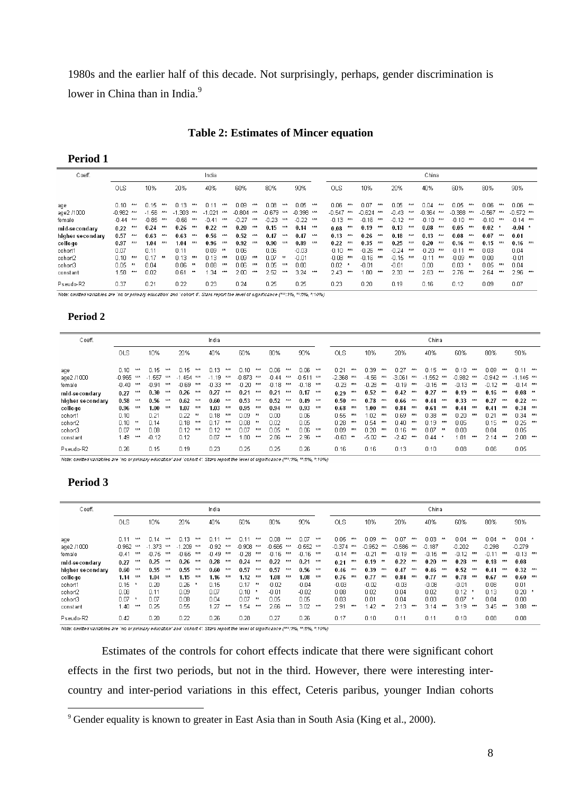1980s and the earlier half of this decade. Not surprisingly, perhaps, gender discrimination is lower in China than in India.<sup>9</sup>

#### **Period 1**

| Coeff.               |                     |            |                 |            |                   |            | India               |            |                     |            |                     |                                                                                                                                      |                             |     |                   |            |                         |     |                    |            | China                   |     |                         |         |                     |            |                             |  |
|----------------------|---------------------|------------|-----------------|------------|-------------------|------------|---------------------|------------|---------------------|------------|---------------------|--------------------------------------------------------------------------------------------------------------------------------------|-----------------------------|-----|-------------------|------------|-------------------------|-----|--------------------|------------|-------------------------|-----|-------------------------|---------|---------------------|------------|-----------------------------|--|
|                      | OLS.                |            | 10%             |            | 20%               |            | 40%                 |            | 60%                 |            | 80%                 |                                                                                                                                      | 90%                         |     | <b>OLS</b>        |            | 10%                     |     | 20%                |            | 40%                     |     | 60%                     |         | 80%                 |            | 90%                         |  |
| age                  | በ 1በ                | 大大大        | n 15.           | 大大大        | በ 13              | 未未未        | n 11                | 大夫夫        | n n9                | 大大大        | 0.08                | 大大大                                                                                                                                  | 0.05.                       | 大大大 | n na              | 大大大        | በ በ7                    | 大大大 | n ns.              | 大夫夫        | n n4                    | 大夫夫 | n ns                    | 大夫夫     | n na                | 大大大        | $0.06***$                   |  |
| age2 /1000<br>female | $-0.982$<br>$-0.44$ | 大大大<br>大大大 | -1.56.<br>-0.85 | 大夫夫<br>大大大 | -1.303<br>$-0.66$ | 大夫夫<br>大大大 | $-1.021$<br>$-0.41$ | 大大大<br>大大大 | $-0.804$<br>$-0.27$ | 大大大<br>大大大 | $-0.679$<br>$-0.23$ | 大大大<br>***                                                                                                                           | $-0.398$ ***<br>$-0.22$ *** |     | -0.547<br>$-0.13$ | 大大大<br>大大大 | $-0.624$ ***<br>$-0.16$ | 大大大 | $-0.43$<br>$-0.12$ | 大夫夫<br>大大大 | $-0.364$ ***<br>$-0.10$ | 大大大 | $-0.388$ ***<br>$-0.10$ | ***     | $-0.567$<br>$-0.10$ | 大大大<br>大大大 | $-0.572$ ***<br>$-0.14$ *** |  |
| mid-secondary        | 0.22                | 大大大        | 0.24            | 大大大        | 0.26              | 大大大        | 0.22                | 大大大        | 0.20                | 大大大        | 0.15                | 大大大                                                                                                                                  | 0.14                        | 大大大 | 0.08              | 大大大        | 0.19                    | 大大大 | 0.13               | 大大大        | $0.08$ ***              |     | 0.05                    | 大大大     | 0.02                |            | $0.04$ *                    |  |
| higher secondary     | 0.57                | 大大大        | 0.63            | 大大大        | 0.63              | 大大大        | 0.56                | 大大大        | 0.52                | 大大大        | 0.47                | 大大大                                                                                                                                  | 0.47                        | 大大大 | 0.13              | 大大大        | 0.26                    | 大大大 | 0.18               | 大大大        | 0.13                    | 大太太 | 0.08                    | 大大大     | 0.07                | 大大大        | 0.01                        |  |
| college              | 0.97                | 大大大        | 1.04            | 未未未        | 1.04              | $***$      | 0.96                | 大大大        | 0.92                | 大大大        | 0.90                | ***                                                                                                                                  | 0.89                        | 大大大 | 0.22              | 大大大        | 0.35                    | 大大大 | 0.25               | 大大大        | 0.20                    | *** | 0.16                    | ***     | 0.15                | 大大大        | $0.16$ ***                  |  |
| cohort1              | 0.07                |            | 0.11            |            | 0.11              |            | 0.09.               | 大夫         | 0.06                |            | 0.06                |                                                                                                                                      | $-0.03$                     |     | $-0.10$           | 大大大        | $-0.26$                 | 大大大 | $-0.24$            | 大大大        | $-0.20$                 | 大大大 | $-0.11$                 | 大丈夫     | 0.03                |            | 0.04                        |  |
| cohort2              | 0.10                | 大大大        | 0.17            | 大夫         | 0.13              | 大大大        | 0.13                | 大大大        | n n9                | 大大大        | 0.07                | 大大                                                                                                                                   | $-0.01$                     |     | $-0.08$           | 大大大        | $-0.16$                 | 大大大 | $-0.15$            | 大大大        | $-0.11$                 | 大大大 | $-0.09$                 | 大大大     | 0.00                |            | $-0.01$                     |  |
| cohort3              | 0.05                |            | n n4            |            | 0.06              | 大大         | 0.08                | 大大大        | 0.06                | 大大大        | 0.05                | ***                                                                                                                                  | 0.00                        |     | 0.02              |            | $-0.01$                 |     | $-0.01$            |            | 0.00                    |     | 0.03                    | $\star$ | 0.05                | 大大大        | 0.04                        |  |
| constant             | .58                 | 大大大        | 0.02            |            | 0.61              | 大大         | .34                 | 大大大        | 2.00                | 大大大        | 2.52                | ***                                                                                                                                  | 3.24                        | 大大大 | 2.43              | 大大大        | 1.80                    | 大大大 | 2.33               | 光光光        | 2.63                    | 大大大 | 2.76                    | 大大大     | 2.64                | 大大大        | $2.96***$                   |  |
| Pseudo-R2            | 0.37                |            | 0.21            |            | 0.22              |            | 0.23                |            | 0.24                |            | 0.25                |                                                                                                                                      | 0.25                        |     | 0.23              |            | 0.20                    |     | 0.19               |            | 0.16                    |     | 0.12                    |         | 0.09                |            | 0.07                        |  |
|                      |                     |            |                 |            |                   |            |                     |            |                     |            |                     | Note: omitted variables are `no or primary education' and `cohort &'. Stars report the level of significance (***:1%, **:5%, *:10%). |                             |     |                   |            |                         |     |                    |            |                         |     |                         |         |                     |            |                             |  |

# **Period 2**

| Coeff.            |                  |     |                  |            |                  |            | India            |            |                  |            |                 |            |                      |     |                                                                                                                                     |            |                 |            |                  |            | China            |            |                  |            |                   |            |                           |     |
|-------------------|------------------|-----|------------------|------------|------------------|------------|------------------|------------|------------------|------------|-----------------|------------|----------------------|-----|-------------------------------------------------------------------------------------------------------------------------------------|------------|-----------------|------------|------------------|------------|------------------|------------|------------------|------------|-------------------|------------|---------------------------|-----|
|                   | <b>OLS</b>       |     | 10%              |            | 20%              |            | 40%              |            | 60%              |            | 80%             |            | 90%                  |     | OLS.                                                                                                                                |            | 10%             |            | 20%              |            | 40%              |            | 60%              |            | 80%               |            | 90%                       |     |
| age<br>age2 /1000 | 0.10<br>$-0.965$ | 光光光 | 0.15<br>$-1.557$ | 大大大<br>大大大 | 0.15<br>$-1.454$ | 大大大<br>大大大 | n 13.<br>$-1.19$ | 大大大<br>大大大 | 0.10<br>$-0.873$ | 光光光<br>共共共 | 0.06<br>$-0.44$ | 光光光<br>大大大 | 0.06<br>$-0.511$ *** | 大夫夫 | 0.21<br>$-2.368$                                                                                                                    | 大大大<br>大大大 | 0.39<br>$-4.56$ | 大大大<br>大大大 | 0.27<br>$-3.061$ | 大大大<br>大大大 | 0.15<br>$-1.552$ | 光光光<br>大大大 | 0.10<br>$-0.982$ | 光光光<br>大大大 | 0.09.<br>$-0.942$ | 大大大<br>大大大 | $0.11***$<br>$-1.145$ *** |     |
| female            | $-0.40$          | 大大大 | $-0.91$          | 大大大        | $-0.69$          | 大大大        | $-0.33$          | 大大大        | $-0.20$          | 大大大        | $-0.18$         | 大大大        | $-0.18$ ***          |     | $-0.23$                                                                                                                             | 大大大        | $-0.28$         | 大大大        | $-0.19$          | 大大大        | $-0.15$          | 大大大        | $-0.13$          | 大大大        | $-0.12$           | 大大大        | $-0.14$ ***               |     |
| mid-secondary     | 0.27             | 大大大 | 0.30             | 大大大        | 0.26             | 大大大        | 0.27             | 大大大        | 0.21             | 大大大        | 0.21            | 大大大        | 0.17                 | *** | 0.29                                                                                                                                | 大大大        | 0.52            | 大大大        | 0.42             | 大大大        | 0.27             | 大大大        | 0.19             | ***        | 0.16              | 大大大        | $0.08$ **                 |     |
| higher secondary  | 0.58             | 大大大 | 0.56             | 大大大        | 0.62             | 大大大        | 0.60             | 大大大        | 0.53             | 素素素        | 0.52            | 大大大        | 0.49                 | 大夫夫 | 0.50                                                                                                                                | 大大大        | 0.78            | 大大大        | 0.66             | 大大大        | 0.44             | 大大大        | 0.33             | 大夫夫        | 0.27              | 大大大        | $0.22$ ***                |     |
| college           | 0.96             | 大大大 | 1.00             | 大大大        | 1.07             | 大大大        | 1.03             | 大大大        | 0.95             | 大大大        | 0.94            | ***        | 0.93                 | 大大大 | 0.68                                                                                                                                | 大大大        | 1.00            | 大大大        | 0.84             | 大大大        | 0.61             | 大大大        | 0.44             | 大大大        | 0.41              | 大大大        | 0.34                      | 大大大 |
| cohort1           | 0.10             |     | 0.21             |            | 0.22             | 大大         | n 18             | 大大大        | 0.09             | 大大         | 0.00            |            | 0.06                 |     | 0.55                                                                                                                                | ***        | 1.02            | 大大大        | 0.69             | 大大大        | 0.38             | 大大大        | 0.20             | 大大大        | 0.21              | ***        | 0.34                      | *** |
| cohort2           | 0.10             | 大大  | $\bigcap$ 14     |            | 0.18             | 大大大        | n 17             | 大大大        | 0.08             | 大大         | 0.02            |            | 0.05                 |     | 0.28                                                                                                                                | 大大大        | n 54            | 大大大        | N 40             | 大大大        | n 19             | 未未未        | 0.05             |            | 0.15              | 大大大        | 0.25                      | 大大大 |
| cohort3           | 0.07             | 光光光 | 0.08             |            | 0.12             | 大大大        | 0.12             | 大大大        | 0.07             | 光光光        | 0.05            | 大夫         | 0.06                 | 大夫夫 | 0.09                                                                                                                                | 大大大        | 0.20            | 大大大        | 0.16             | 大大大        | 0.07             | 大大         | 0.00             |            | 0.04              |            | 0.05                      |     |
| constant          | 1.49             | 素素素 | $-0.12$          |            | 0.12             |            | 0.87             | 大大大        | .80              | 共共共        | 2.86            | 大大大        | 2.96                 | 大大大 | $-0.63$                                                                                                                             |            | $-5.02$         | 大大大        | $-2.42$          | 大大大        | 0.44             |            | 1.81             | 大夫夫        | 2.14              | 大大大        | $2.08 -$                  | 大大大 |
| Pseudo-R2         | 0.26             |     | 0.15             |            | 0.19             |            | 0.23             |            | 0.25             |            | 0.25            |            | 0.26                 |     | 0.16                                                                                                                                |            | 0.16            |            | 0.13             |            | 0.10             |            | 0.08             |            | 0.06              |            | 0.05                      |     |
|                   |                  |     |                  |            |                  |            |                  |            |                  |            |                 |            |                      |     | Note: omitted variables are 'no or primary education' and 'cohort 4'. Stars report the level of significance (***:1%, **:5%, *:10%) |            |                 |            |                  |            |                  |            |                  |            |                   |            |                           |     |

# **Period 3**

 $\overline{a}$ 

| Coeff.            |                             |                                      |                     |     | India               |     |                           |     |                      |     |                      |     |                  |            |                      |     |                      |     | China                         |     |                  |         |                  |     |                      |     |
|-------------------|-----------------------------|--------------------------------------|---------------------|-----|---------------------|-----|---------------------------|-----|----------------------|-----|----------------------|-----|------------------|------------|----------------------|-----|----------------------|-----|-------------------------------|-----|------------------|---------|------------------|-----|----------------------|-----|
|                   | OLS.                        | 10%                                  | 20%                 |     | 40%                 |     | 60%                       |     | 80%                  |     | 90%                  |     | <b>OLS</b>       |            | 10%                  |     | 20%                  |     | 40%                           |     | 60%              |         | 80%              |     | 90%                  |     |
| age<br>age2 /1000 | 0.11<br>大大大<br>$-0.962$ *** | $\bigcap 14$<br>大大大<br>-1.373<br>大大大 | 0.13<br>$-1209$ *** | 大大大 | 0.11<br>$-0.92$ *** | 大大大 | $\Box$ 11<br>$-0.908$ *** | 大大大 | 0.08<br>$-0.565$ *** | 大大大 | 0.07<br>$-0.552$ *** | 大大大 | 0.05<br>$-0.374$ | 大大大<br>*** | 0.09<br>$-0.952$ *** | *** | 0.07<br>$-0.586$ *** | 大大大 | 0.03 <sub>1</sub><br>$-0.187$ | 大夫  | 0.04<br>$-0.202$ | 大大大     | 0.04<br>$-0.298$ | 大大  | $0.04$ *<br>$-0.279$ |     |
| female            | $-0.41$<br>大大大              | -0.75.<br>大夫夫                        | $-0.65$             | 大大大 | $-0.49$             | 大大大 | $-0.28$                   | *** | -0.16                | 大夫夫 | $-0.16$ ***          |     | $-0.14$          | 大夫夫        | $-0.21$              | 大大大 | $-0.19$              | 大大大 | $-0.15$                       | 光光光 | -0.12            | ***     | $-0.11$          | 大大大 | $-0.13$ ***          |     |
| mid-secondary     | ***<br>0.27                 | 0.25<br>大夫夫                          | 0.26                | 大大大 | 0.28                | 大大大 | 0.24                      | 光光光 | 0.22                 | *** | 0.21                 | 大夫夫 | 0.21             | 大夫夫        | 0.19                 | 大大  | 0.22                 | 大大大 | 0.20                          | 光光光 | 0.28             | 大夫夫     | 0.18             | 大大大 | 0.08                 |     |
| higher secondary  | 0.60<br>大大大                 | 0.55<br>大大大                          | 0.55                | 大大大 | 0.60                | 大大大 | 0.57                      | 大大大 | 0.57                 | 大大大 | 0.56                 | 大大大 | 0.46             | 大大大        | 0.39                 | 大大大 | 0.47                 | *** | $0.46$ ***                    |     | 0.52             | 大大大     | 0.41             | 大大大 | $0.32$ ***           |     |
| college           | 1.14<br>光光光                 | 1.04<br>大大大                          | 1.15                | 大大大 | 1.16                | 大大大 | 1.12                      | 光光光 | 1.08                 | 大大大 | 1.08                 | 光光光 | 0.76             | 大大大        | 0.77                 | *** | 0.84                 | 大大大 | 0.77                          | 光光光 | 0.78             | ***     | 0.67             | 大大大 | 0.60                 | 大大大 |
| cohort1           | 0.15                        | 0.20                                 | 0.26                |     | 0.15                |     | 0.17                      | 大大  | $-0.02$              |     | $-0.04$              |     | $-0.03$          |            | $-0.02$              |     | $-0.03$              |     | $-0.08$                       |     | $-0.01$          |         | 0.08             |     | 0.01                 |     |
| cohort2           | 0.08                        | 0.11                                 | 0.09                |     | 0.07                |     | $0.10 -$                  |     | $-0.01$              |     | $-0.02$              |     | 0.08             |            | 0.02                 |     | 0.04                 |     | 0.02                          |     | 0.12             |         | 0.13             |     | 0.20                 |     |
| cohort3           | 0.07                        | n nz                                 | 0.08                |     | 0.04                |     | በ በ7                      | 大大  | 0.05                 |     | 0.05                 |     | 0.03             |            | 0.01                 |     | 0.04                 |     | 0.00                          |     | n nz             | $\cdot$ | 0.04             |     | 0.00                 |     |
| constant          | . . 40<br>光光光               | 0.25                                 | 0.55                |     | -27                 | 大大大 | . 54                      | 光光光 | 2.66                 | 大大大 | 3.02                 | 大大大 | 2.91             | 大大大        | 1.42                 | 大大  | 2.13                 | 大大大 | 3.14                          | 光光光 | 3.19             | 光光光     | 3.45             | 大大大 | 3.88                 | 大大大 |
| Pseudo-R2         | 0.42                        | 0.20                                 | 0.22                |     | 0.26                |     | 0.28                      |     | 0.27                 |     | 0.26                 |     | 0.17             |            | 0.10                 |     | 0.11                 |     | 0.11                          |     | 0.10             |         | 0.08             |     | 0.08                 |     |

Note: omitted variables are 'no or primary education' and 'cohort 4'. Stars report the level of significance (\*\*\*:1%, \*\*:5%, \*:10%)

Estimates of the controls for cohort effects indicate that there were significant cohort effects in the first two periods, but not in the third. However, there were interesting intercountry and inter-period variations in this effect, Ceteris paribus, younger Indian cohorts

 $9^9$  Gender equality is known to greater in East Asia than in South Asia (King et al., 2000).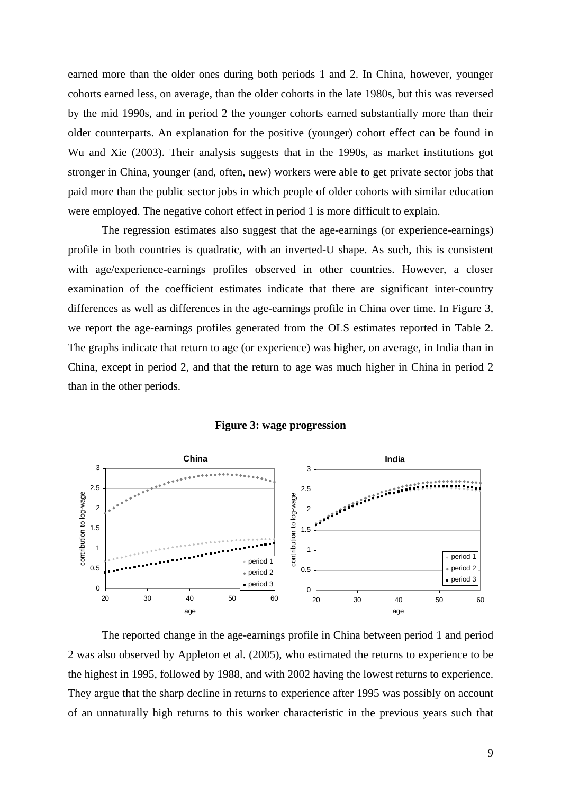earned more than the older ones during both periods 1 and 2. In China, however, younger cohorts earned less, on average, than the older cohorts in the late 1980s, but this was reversed by the mid 1990s, and in period 2 the younger cohorts earned substantially more than their older counterparts. An explanation for the positive (younger) cohort effect can be found in Wu and Xie (2003). Their analysis suggests that in the 1990s, as market institutions got stronger in China, younger (and, often, new) workers were able to get private sector jobs that paid more than the public sector jobs in which people of older cohorts with similar education were employed. The negative cohort effect in period 1 is more difficult to explain.

The regression estimates also suggest that the age-earnings (or experience-earnings) profile in both countries is quadratic, with an inverted-U shape. As such, this is consistent with age/experience-earnings profiles observed in other countries. However, a closer examination of the coefficient estimates indicate that there are significant inter-country differences as well as differences in the age-earnings profile in China over time. In Figure 3, we report the age-earnings profiles generated from the OLS estimates reported in Table 2. The graphs indicate that return to age (or experience) was higher, on average, in India than in China, except in period 2, and that the return to age was much higher in China in period 2 than in the other periods.



#### **Figure 3: wage progression**

The reported change in the age-earnings profile in China between period 1 and period 2 was also observed by Appleton et al. (2005), who estimated the returns to experience to be the highest in 1995, followed by 1988, and with 2002 having the lowest returns to experience. They argue that the sharp decline in returns to experience after 1995 was possibly on account of an unnaturally high returns to this worker characteristic in the previous years such that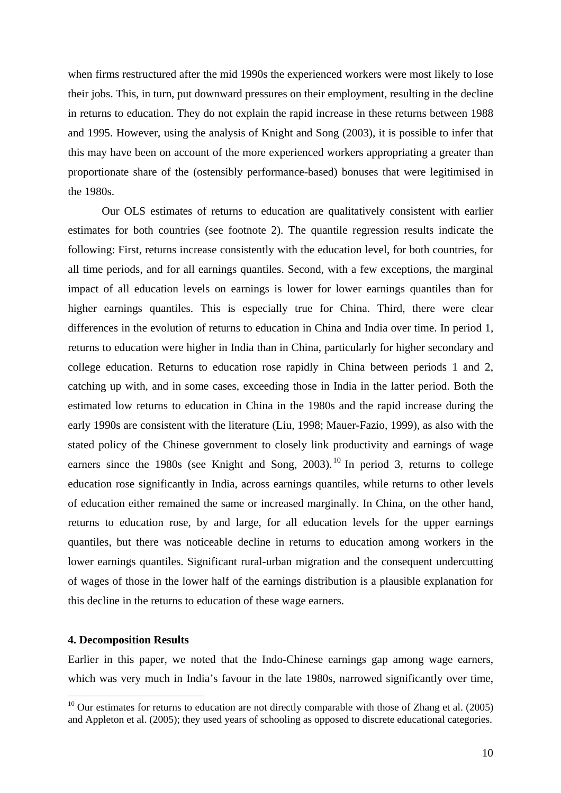when firms restructured after the mid 1990s the experienced workers were most likely to lose their jobs. This, in turn, put downward pressures on their employment, resulting in the decline in returns to education. They do not explain the rapid increase in these returns between 1988 and 1995. However, using the analysis of Knight and Song (2003), it is possible to infer that this may have been on account of the more experienced workers appropriating a greater than proportionate share of the (ostensibly performance-based) bonuses that were legitimised in the 1980s.

Our OLS estimates of returns to education are qualitatively consistent with earlier estimates for both countries (see footnote 2). The quantile regression results indicate the following: First, returns increase consistently with the education level, for both countries, for all time periods, and for all earnings quantiles. Second, with a few exceptions, the marginal impact of all education levels on earnings is lower for lower earnings quantiles than for higher earnings quantiles. This is especially true for China. Third, there were clear differences in the evolution of returns to education in China and India over time. In period 1, returns to education were higher in India than in China, particularly for higher secondary and college education. Returns to education rose rapidly in China between periods 1 and 2, catching up with, and in some cases, exceeding those in India in the latter period. Both the estimated low returns to education in China in the 1980s and the rapid increase during the early 1990s are consistent with the literature (Liu, 1998; Mauer-Fazio, 1999), as also with the stated policy of the Chinese government to closely link productivity and earnings of wage earners since the 1980s (see Knight and Song,  $2003$ ).<sup>10</sup> In period 3, returns to college education rose significantly in India, across earnings quantiles, while returns to other levels of education either remained the same or increased marginally. In China, on the other hand, returns to education rose, by and large, for all education levels for the upper earnings quantiles, but there was noticeable decline in returns to education among workers in the lower earnings quantiles. Significant rural-urban migration and the consequent undercutting of wages of those in the lower half of the earnings distribution is a plausible explanation for this decline in the returns to education of these wage earners.

# **4. Decomposition Results**

 $\overline{a}$ 

Earlier in this paper, we noted that the Indo-Chinese earnings gap among wage earners, which was very much in India's favour in the late 1980s, narrowed significantly over time,

 $10$  Our estimates for returns to education are not directly comparable with those of Zhang et al. (2005) and Appleton et al. (2005); they used years of schooling as opposed to discrete educational categories.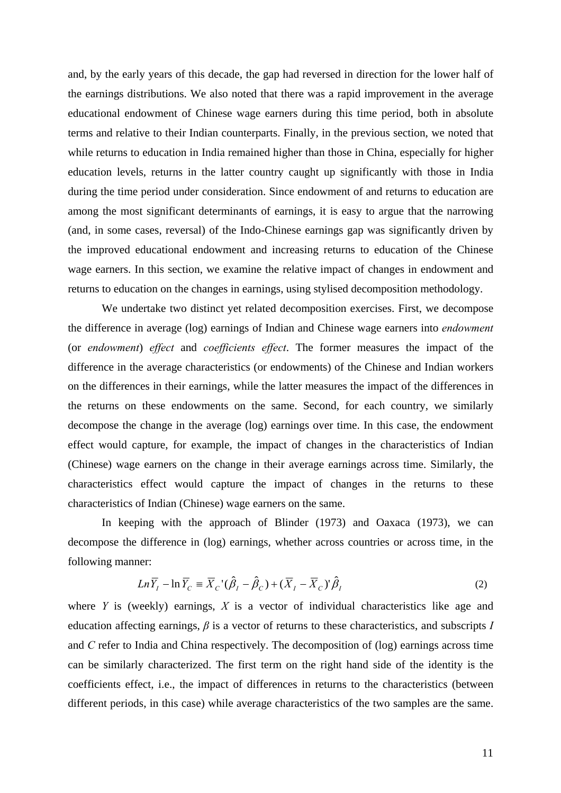and, by the early years of this decade, the gap had reversed in direction for the lower half of the earnings distributions. We also noted that there was a rapid improvement in the average educational endowment of Chinese wage earners during this time period, both in absolute terms and relative to their Indian counterparts. Finally, in the previous section, we noted that while returns to education in India remained higher than those in China, especially for higher education levels, returns in the latter country caught up significantly with those in India during the time period under consideration. Since endowment of and returns to education are among the most significant determinants of earnings, it is easy to argue that the narrowing (and, in some cases, reversal) of the Indo-Chinese earnings gap was significantly driven by the improved educational endowment and increasing returns to education of the Chinese wage earners. In this section, we examine the relative impact of changes in endowment and returns to education on the changes in earnings, using stylised decomposition methodology.

We undertake two distinct yet related decomposition exercises. First, we decompose the difference in average (log) earnings of Indian and Chinese wage earners into *endowment* (or *endowment*) *effect* and *coefficients effect*. The former measures the impact of the difference in the average characteristics (or endowments) of the Chinese and Indian workers on the differences in their earnings, while the latter measures the impact of the differences in the returns on these endowments on the same. Second, for each country, we similarly decompose the change in the average (log) earnings over time. In this case, the endowment effect would capture, for example, the impact of changes in the characteristics of Indian (Chinese) wage earners on the change in their average earnings across time. Similarly, the characteristics effect would capture the impact of changes in the returns to these characteristics of Indian (Chinese) wage earners on the same.

In keeping with the approach of Blinder (1973) and Oaxaca (1973), we can decompose the difference in (log) earnings, whether across countries or across time, in the following manner:

$$
Ln\overline{Y}_I - ln\overline{Y}_C \equiv \overline{X}_C'(\hat{\beta}_I - \hat{\beta}_C) + (\overline{X}_I - \overline{X}_C)'\hat{\beta}_I
$$
\n(2)

where *Y* is (weekly) earnings, *X* is a vector of individual characteristics like age and education affecting earnings, *β* is a vector of returns to these characteristics, and subscripts *I* and *C* refer to India and China respectively. The decomposition of (log) earnings across time can be similarly characterized. The first term on the right hand side of the identity is the coefficients effect, i.e., the impact of differences in returns to the characteristics (between different periods, in this case) while average characteristics of the two samples are the same.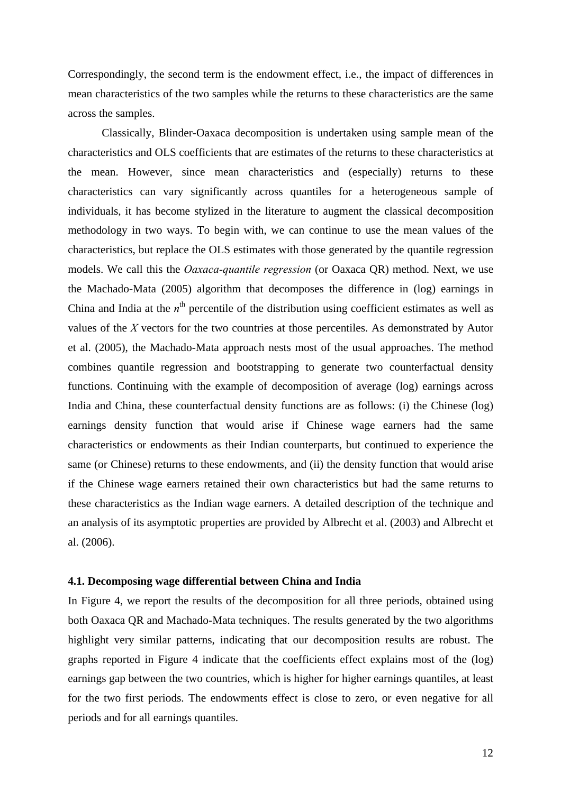Correspondingly, the second term is the endowment effect, i.e., the impact of differences in mean characteristics of the two samples while the returns to these characteristics are the same across the samples.

Classically, Blinder-Oaxaca decomposition is undertaken using sample mean of the characteristics and OLS coefficients that are estimates of the returns to these characteristics at the mean. However, since mean characteristics and (especially) returns to these characteristics can vary significantly across quantiles for a heterogeneous sample of individuals, it has become stylized in the literature to augment the classical decomposition methodology in two ways. To begin with, we can continue to use the mean values of the characteristics, but replace the OLS estimates with those generated by the quantile regression models. We call this the *Oaxaca-quantile regression* (or Oaxaca QR) method. Next, we use the Machado-Mata (2005) algorithm that decomposes the difference in (log) earnings in China and India at the  $n<sup>th</sup>$  percentile of the distribution using coefficient estimates as well as values of the *X* vectors for the two countries at those percentiles. As demonstrated by Autor et al. (2005), the Machado-Mata approach nests most of the usual approaches. The method combines quantile regression and bootstrapping to generate two counterfactual density functions. Continuing with the example of decomposition of average (log) earnings across India and China, these counterfactual density functions are as follows: (i) the Chinese (log) earnings density function that would arise if Chinese wage earners had the same characteristics or endowments as their Indian counterparts, but continued to experience the same (or Chinese) returns to these endowments, and (ii) the density function that would arise if the Chinese wage earners retained their own characteristics but had the same returns to these characteristics as the Indian wage earners. A detailed description of the technique and an analysis of its asymptotic properties are provided by Albrecht et al. (2003) and Albrecht et al. (2006).

### **4.1. Decomposing wage differential between China and India**

In Figure 4, we report the results of the decomposition for all three periods, obtained using both Oaxaca QR and Machado-Mata techniques. The results generated by the two algorithms highlight very similar patterns, indicating that our decomposition results are robust. The graphs reported in Figure 4 indicate that the coefficients effect explains most of the (log) earnings gap between the two countries, which is higher for higher earnings quantiles, at least for the two first periods. The endowments effect is close to zero, or even negative for all periods and for all earnings quantiles.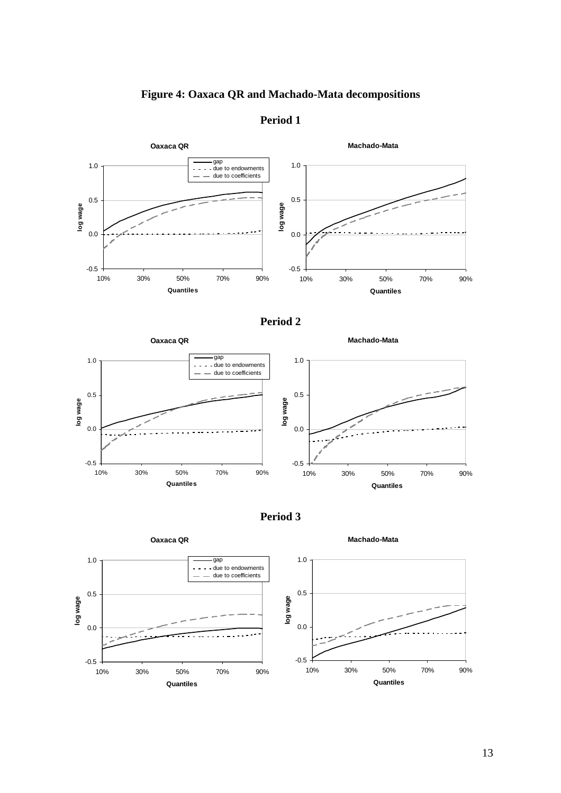# **Figure 4: Oaxaca QR and Machado-Mata decompositions**



# **Period 1**









**Machado-Mata**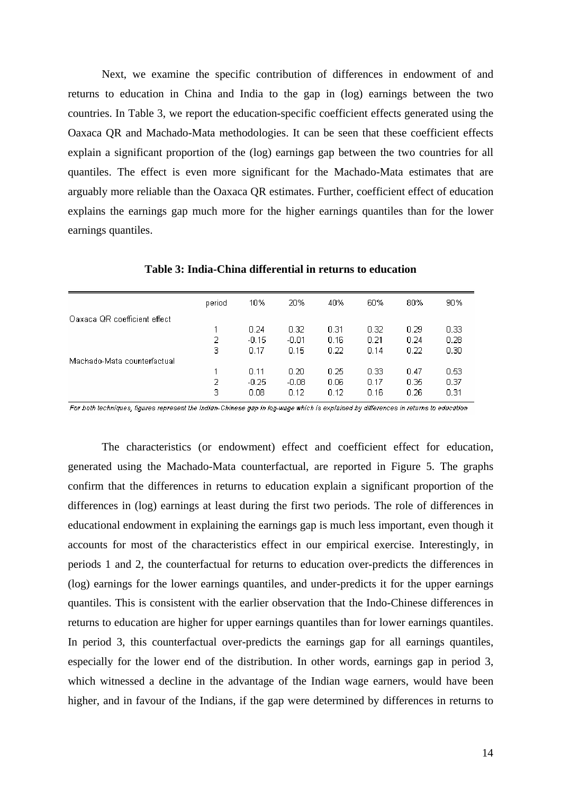Next, we examine the specific contribution of differences in endowment of and returns to education in China and India to the gap in (log) earnings between the two countries. In Table 3, we report the education-specific coefficient effects generated using the Oaxaca QR and Machado-Mata methodologies. It can be seen that these coefficient effects explain a significant proportion of the (log) earnings gap between the two countries for all quantiles. The effect is even more significant for the Machado-Mata estimates that are arguably more reliable than the Oaxaca QR estimates. Further, coefficient effect of education explains the earnings gap much more for the higher earnings quantiles than for the lower earnings quantiles.

|                              | period | 10%     | 20%     | 40%  | 60%  | 80%  | 90%               |  |
|------------------------------|--------|---------|---------|------|------|------|-------------------|--|
| Oaxaca QR coefficient effect |        |         |         |      |      |      |                   |  |
|                              |        | 0.24    | 0.32    | 0.31 | 0.32 | 0.29 | 0.33 <sub>1</sub> |  |
|                              | 2      | $-0.15$ | $-0.01$ | 0.16 | 0.21 | 0.24 | 0.28              |  |
|                              | 3      | 0.17    | 0.15    | 0.22 | 0.14 | 0.22 | 0.30 <sub>1</sub> |  |
| Machado-Mata counterfactual  |        |         |         |      |      |      |                   |  |
|                              |        | 0.11    | 0.20    | 0.25 | 0.33 | 0.47 | 0.53              |  |
|                              | 2      | $-0.25$ | $-0.08$ | 0.06 | 0.17 | 0.35 | 0.37              |  |
|                              | з      | 0.08    | 0.12    | 0.12 | 0.16 | 0.26 | 0.31              |  |
|                              |        |         |         |      |      |      |                   |  |

**Table 3: India-China differential in returns to education** 

For both techniques, figures represent the Indian-Chinese gap in log-wage which is explained by differences in returns to education

The characteristics (or endowment) effect and coefficient effect for education, generated using the Machado-Mata counterfactual, are reported in Figure 5. The graphs confirm that the differences in returns to education explain a significant proportion of the differences in (log) earnings at least during the first two periods. The role of differences in educational endowment in explaining the earnings gap is much less important, even though it accounts for most of the characteristics effect in our empirical exercise. Interestingly, in periods 1 and 2, the counterfactual for returns to education over-predicts the differences in (log) earnings for the lower earnings quantiles, and under-predicts it for the upper earnings quantiles. This is consistent with the earlier observation that the Indo-Chinese differences in returns to education are higher for upper earnings quantiles than for lower earnings quantiles. In period 3, this counterfactual over-predicts the earnings gap for all earnings quantiles, especially for the lower end of the distribution. In other words, earnings gap in period 3, which witnessed a decline in the advantage of the Indian wage earners, would have been higher, and in favour of the Indians, if the gap were determined by differences in returns to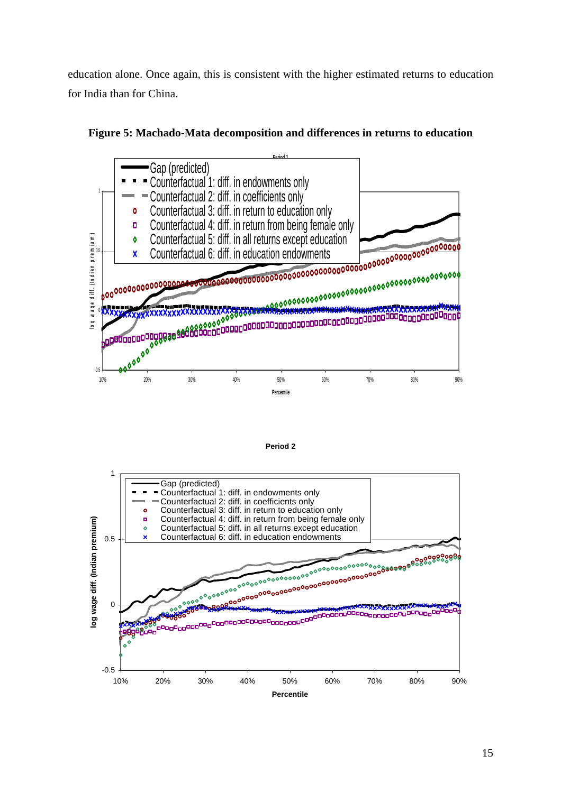education alone. Once again, this is consistent with the higher estimated returns to education for India than for China.



**Figure 5: Machado-Mata decomposition and differences in returns to education** 



**Period 2**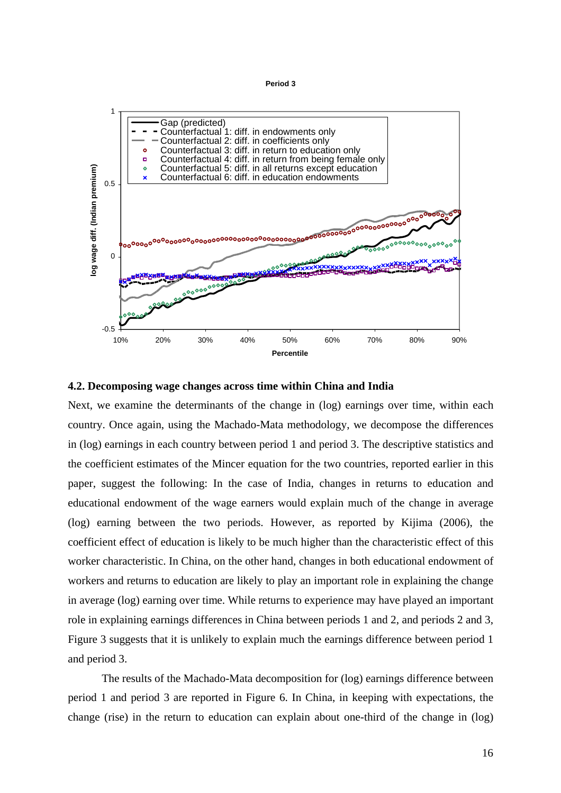**Period 3**



#### **4.2. Decomposing wage changes across time within China and India**

Next, we examine the determinants of the change in (log) earnings over time, within each country. Once again, using the Machado-Mata methodology, we decompose the differences in (log) earnings in each country between period 1 and period 3. The descriptive statistics and the coefficient estimates of the Mincer equation for the two countries, reported earlier in this paper, suggest the following: In the case of India, changes in returns to education and educational endowment of the wage earners would explain much of the change in average (log) earning between the two periods. However, as reported by Kijima (2006), the coefficient effect of education is likely to be much higher than the characteristic effect of this worker characteristic. In China, on the other hand, changes in both educational endowment of workers and returns to education are likely to play an important role in explaining the change in average (log) earning over time. While returns to experience may have played an important role in explaining earnings differences in China between periods 1 and 2, and periods 2 and 3, Figure 3 suggests that it is unlikely to explain much the earnings difference between period 1 and period 3.

The results of the Machado-Mata decomposition for (log) earnings difference between period 1 and period 3 are reported in Figure 6. In China, in keeping with expectations, the change (rise) in the return to education can explain about one-third of the change in (log)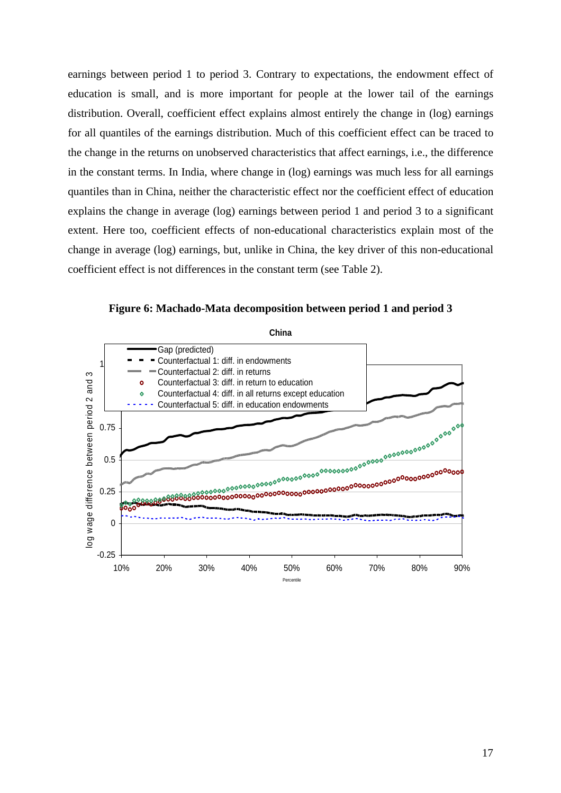earnings between period 1 to period 3. Contrary to expectations, the endowment effect of education is small, and is more important for people at the lower tail of the earnings distribution. Overall, coefficient effect explains almost entirely the change in (log) earnings for all quantiles of the earnings distribution. Much of this coefficient effect can be traced to the change in the returns on unobserved characteristics that affect earnings, i.e., the difference in the constant terms. In India, where change in (log) earnings was much less for all earnings quantiles than in China, neither the characteristic effect nor the coefficient effect of education explains the change in average (log) earnings between period 1 and period 3 to a significant extent. Here too, coefficient effects of non-educational characteristics explain most of the change in average (log) earnings, but, unlike in China, the key driver of this non-educational coefficient effect is not differences in the constant term (see Table 2).

**Figure 6: Machado-Mata decomposition between period 1 and period 3** 

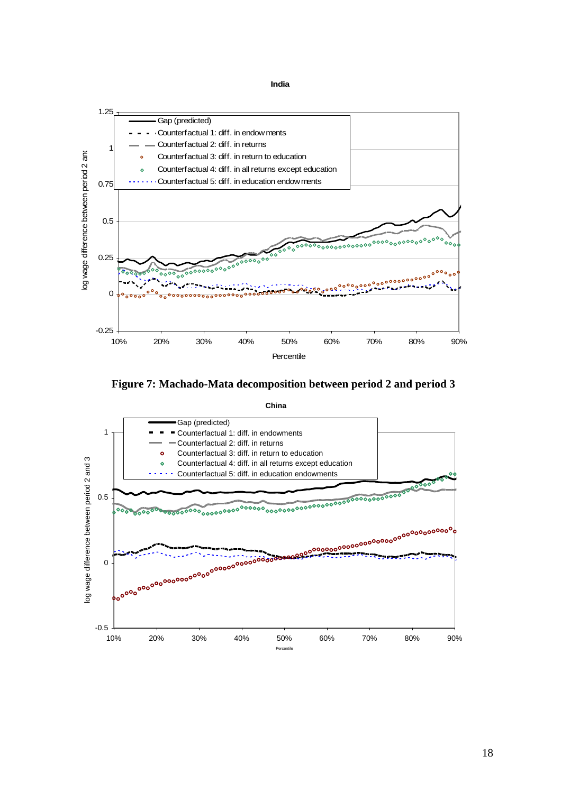**India**





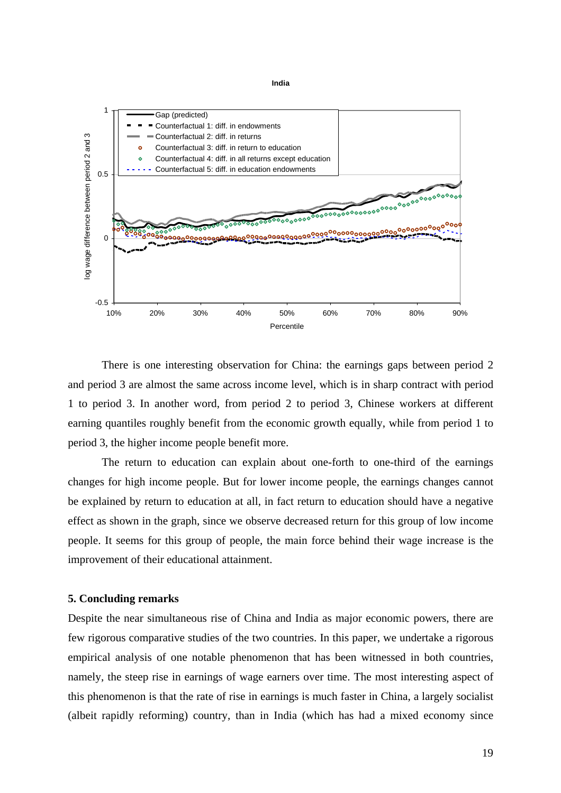#### **India**



There is one interesting observation for China: the earnings gaps between period 2 and period 3 are almost the same across income level, which is in sharp contract with period 1 to period 3. In another word, from period 2 to period 3, Chinese workers at different earning quantiles roughly benefit from the economic growth equally, while from period 1 to period 3, the higher income people benefit more.

The return to education can explain about one-forth to one-third of the earnings changes for high income people. But for lower income people, the earnings changes cannot be explained by return to education at all, in fact return to education should have a negative effect as shown in the graph, since we observe decreased return for this group of low income people. It seems for this group of people, the main force behind their wage increase is the improvement of their educational attainment.

#### **5. Concluding remarks**

Despite the near simultaneous rise of China and India as major economic powers, there are few rigorous comparative studies of the two countries. In this paper, we undertake a rigorous empirical analysis of one notable phenomenon that has been witnessed in both countries, namely, the steep rise in earnings of wage earners over time. The most interesting aspect of this phenomenon is that the rate of rise in earnings is much faster in China, a largely socialist (albeit rapidly reforming) country, than in India (which has had a mixed economy since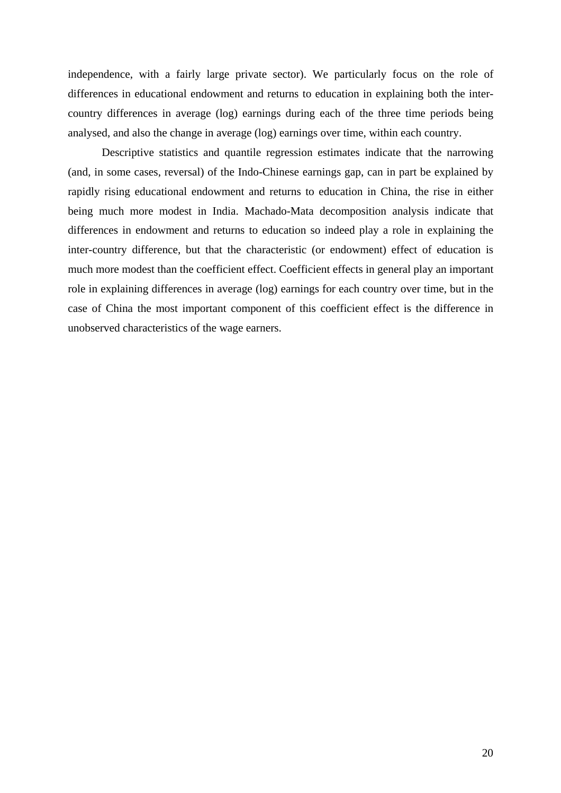independence, with a fairly large private sector). We particularly focus on the role of differences in educational endowment and returns to education in explaining both the intercountry differences in average (log) earnings during each of the three time periods being analysed, and also the change in average (log) earnings over time, within each country.

Descriptive statistics and quantile regression estimates indicate that the narrowing (and, in some cases, reversal) of the Indo-Chinese earnings gap, can in part be explained by rapidly rising educational endowment and returns to education in China, the rise in either being much more modest in India. Machado-Mata decomposition analysis indicate that differences in endowment and returns to education so indeed play a role in explaining the inter-country difference, but that the characteristic (or endowment) effect of education is much more modest than the coefficient effect. Coefficient effects in general play an important role in explaining differences in average (log) earnings for each country over time, but in the case of China the most important component of this coefficient effect is the difference in unobserved characteristics of the wage earners.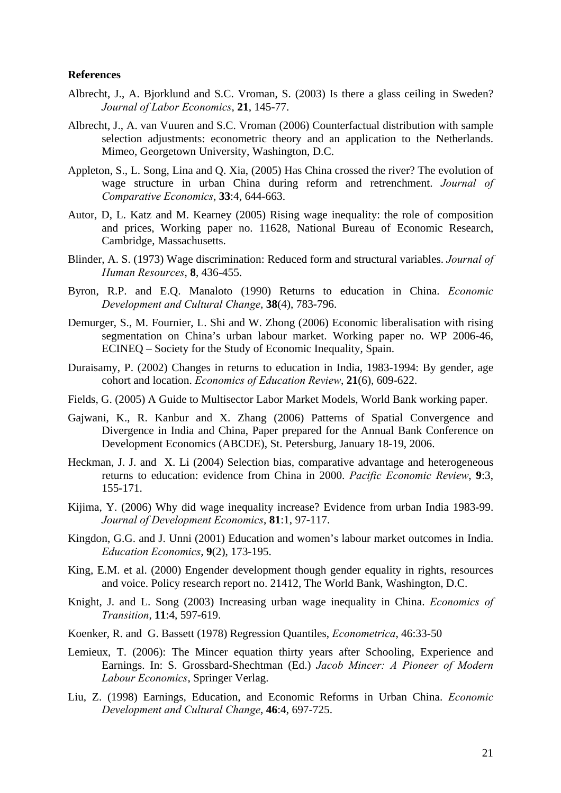# **References**

- Albrecht, J., A. Bjorklund and S.C. Vroman, S. (2003) Is there a glass ceiling in Sweden? *Journal of Labor Economics*, **21**, 145-77.
- Albrecht, J., A. van Vuuren and S.C. Vroman (2006) Counterfactual distribution with sample selection adjustments: econometric theory and an application to the Netherlands. Mimeo, Georgetown University, Washington, D.C.
- Appleton, S., L. Song, Lina and Q. Xia, (2005) Has China crossed the river? The evolution of wage structure in urban China during reform and retrenchment. *Journal of Comparative Economics*, **33**:4, 644-663.
- Autor, D, L. Katz and M. Kearney (2005) Rising wage inequality: the role of composition and prices, Working paper no. 11628, National Bureau of Economic Research, Cambridge, Massachusetts.
- Blinder, A. S. (1973) Wage discrimination: Reduced form and structural variables. *Journal of Human Resources*, **8**, 436-455.
- Byron, R.P. and E.Q. Manaloto (1990) Returns to education in China. *Economic Development and Cultural Change*, **38**(4), 783-796.
- Demurger, S., M. Fournier, L. Shi and W. Zhong (2006) Economic liberalisation with rising segmentation on China's urban labour market. Working paper no. WP 2006-46, ECINEQ – Society for the Study of Economic Inequality, Spain.
- Duraisamy, P. (2002) Changes in returns to education in India, 1983-1994: By gender, age cohort and location. *Economics of Education Review*, **21**(6), 609-622.
- Fields, G. (2005) A Guide to Multisector Labor Market Models, World Bank working paper.
- Gajwani, K., R. Kanbur and X. Zhang (2006) Patterns of Spatial Convergence and Divergence in India and China, Paper prepared for the Annual Bank Conference on Development Economics (ABCDE), St. Petersburg, January 18-19, 2006.
- Heckman, J. J. and X. Li (2004) Selection bias, comparative advantage and heterogeneous returns to education: evidence from China in 2000. *Pacific Economic Review*, **9**:3, 155-171.
- Kijima, Y. (2006) Why did wage inequality increase? Evidence from urban India 1983-99. *Journal of Development Economics*, **81**:1, 97-117.
- Kingdon, G.G. and J. Unni (2001) Education and women's labour market outcomes in India. *Education Economics*, **9**(2), 173-195.
- King, E.M. et al. (2000) Engender development though gender equality in rights, resources and voice. Policy research report no. 21412, The World Bank, Washington, D.C.
- Knight, J. and L. Song (2003) Increasing urban wage inequality in China. *Economics of Transition*, **11**:4, 597-619.
- Koenker, R. and G. Bassett (1978) Regression Quantiles, *Econometrica*, 46:33-50
- Lemieux, T. (2006): The Mincer equation thirty years after Schooling, Experience and Earnings. In: S. Grossbard-Shechtman (Ed.) *Jacob Mincer: A Pioneer of Modern Labour Economics*, Springer Verlag.
- Liu, Z. (1998) Earnings, Education, and Economic Reforms in Urban China. *Economic Development and Cultural Change*, **46**:4, 697-725.